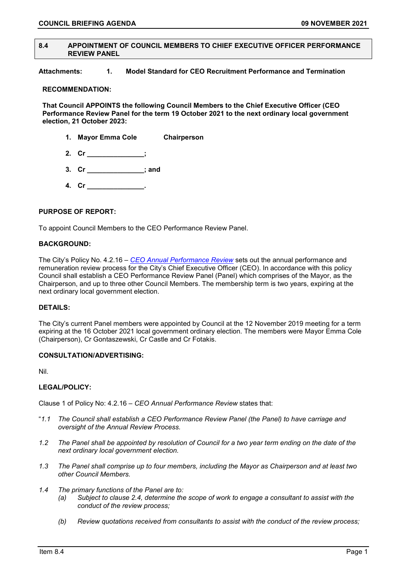## **8.4 APPOINTMENT OF COUNCIL MEMBERS TO CHIEF EXECUTIVE OFFICER PERFORMANCE REVIEW PANEL**

**Attachments: 1. Model Standard for CEO Recruitment Performance and Termination** 

## **RECOMMENDATION:**

**That Council APPOINTS the following Council Members to the Chief Executive Officer (CEO Performance Review Panel for the term 19 October 2021 to the next ordinary local government election, 21 October 2023:**

- **1. Mayor Emma Cole Chairperson**
- **2. Cr \_\_\_\_\_\_\_\_\_\_\_\_\_\_\_;**
- **3. Cr \_\_\_\_\_\_\_\_\_\_\_\_\_\_\_; and**
- **4. Cr \_\_\_\_\_\_\_\_\_\_\_\_\_\_\_.**

# **PURPOSE OF REPORT:**

To appoint Council Members to the CEO Performance Review Panel.

## **BACKGROUND:**

The City's Policy No. 4.2.16 – *[CEO Annual Performance Review](https://www.vincent.wa.gov.au/documents/1285/4216-ceo-annual-performance-review)* sets out the annual performance and remuneration review process for the City's Chief Executive Officer (CEO). In accordance with this policy Council shall establish a CEO Performance Review Panel (Panel) which comprises of the Mayor, as the Chairperson, and up to three other Council Members. The membership term is two years, expiring at the next ordinary local government election.

## **DETAILS:**

The City's current Panel members were appointed by Council at the 12 November 2019 meeting for a term expiring at the 16 October 2021 local government ordinary election. The members were Mayor Emma Cole (Chairperson), Cr Gontaszewski, Cr Castle and Cr Fotakis.

## **CONSULTATION/ADVERTISING:**

Nil.

# **LEGAL/POLICY:**

Clause 1 of Policy No: 4.2.16 *– CEO Annual Performance Review* states that:

- "*1.1 The Council shall establish a CEO Performance Review Panel (the Panel) to have carriage and oversight of the Annual Review Process.*
- *1.2 The Panel shall be appointed by resolution of Council for a two year term ending on the date of the next ordinary local government election.*
- *1.3 The Panel shall comprise up to four members, including the Mayor as Chairperson and at least two other Council Members.*
- *1.4 The primary functions of the Panel are to:*
	- *(a) Subject to clause 2.4, determine the scope of work to engage a consultant to assist with the conduct of the review process;*
	- *(b) Review quotations received from consultants to assist with the conduct of the review process;*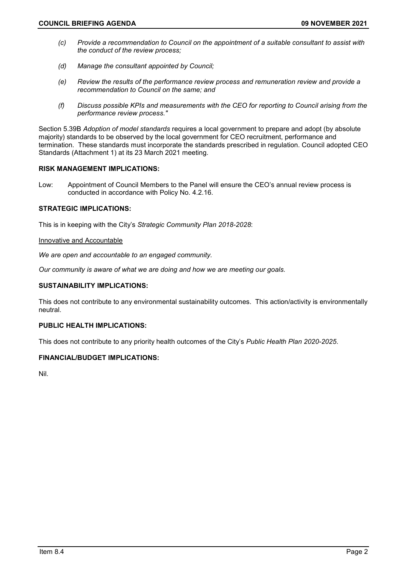- *(c) Provide a recommendation to Council on the appointment of a suitable consultant to assist with the conduct of the review process;*
- *(d) Manage the consultant appointed by Council;*
- *(e) Review the results of the performance review process and remuneration review and provide a recommendation to Council on the same; and*
- *(f) Discuss possible KPIs and measurements with the CEO for reporting to Council arising from the performance review process."*

Section 5.39B *Adoption of model standards* requires a local government to prepare and adopt (by absolute majority) standards to be observed by the local government for CEO recruitment, performance and termination. These standards must incorporate the standards prescribed in regulation. Council adopted CEO Standards (Attachment 1) at its 23 March 2021 meeting.

## **RISK MANAGEMENT IMPLICATIONS:**

Low: Appointment of Council Members to the Panel will ensure the CEO's annual review process is conducted in accordance with Policy No. 4.2.16.

## **STRATEGIC IMPLICATIONS:**

This is in keeping with the City's *Strategic Community Plan 2018-2028*:

## Innovative and Accountable

*We are open and accountable to an engaged community.*

*Our community is aware of what we are doing and how we are meeting our goals.*

## **SUSTAINABILITY IMPLICATIONS:**

This does not contribute to any environmental sustainability outcomes. This action/activity is environmentally neutral.

## **PUBLIC HEALTH IMPLICATIONS:**

This does not contribute to any priority health outcomes of the City's *Public Health Plan 2020-2025*.

## **FINANCIAL/BUDGET IMPLICATIONS:**

Nil.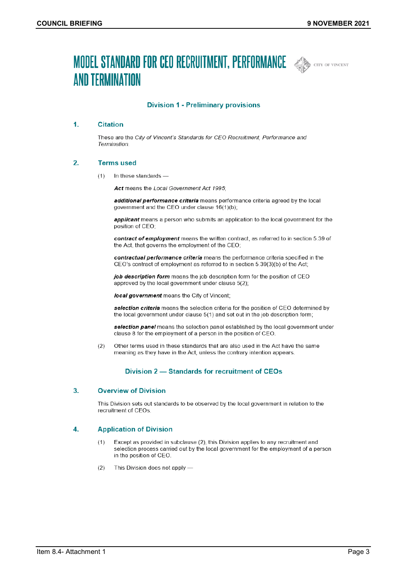# **MODEL STANDARD FOR CEO RECRUITMENT, PERFORMANCE AND CITY OF VINCENT AND TERMINATION**



## **Division 1 - Preliminary provisions**

#### $\mathbf{1}$ **Citation**

These are the City of Vincent's Standards for CEO Recruitment, Performance and Termination.

#### 2. **Terms used**

 $(1)$ In these standards -

Act means the Local Government Act 1995:

additional performance criteria means performance criteria agreed by the local government and the CEO under clause 16(1)(b);

applicant means a person who submits an application to the local government for the position of CEO;

contract of employment means the written contract, as referred to in section 5.39 of the Act, that governs the employment of the CEO;

contractual performance criteria means the performance criteria specified in the CEO's contract of employment as referred to in section 5.39(3)(b) of the Act;

job description form means the job description form for the position of CEO approved by the local government under clause 5(2);

local government means the City of Vincent;

selection criteria means the selection criteria for the position of CEO determined by the local government under clause 5(1) and set out in the job description form;

selection panel means the selection panel established by the local government under clause 8 for the employment of a person in the position of CEO.

 $(2)$ Other terms used in these standards that are also used in the Act have the same meaning as they have in the Act, unless the contrary intention appears.

## Division 2 - Standards for recruitment of CEOs

#### **Overview of Division** 3.

This Division sets out standards to be observed by the local government in relation to the recruitment of CEOs.

#### 4. **Application of Division**

- $(1)$ Except as provided in subclause (2), this Division applies to any recruitment and selection process carried out by the local government for the employment of a person in the position of CEO.
- $(2)$ This Division does not apply -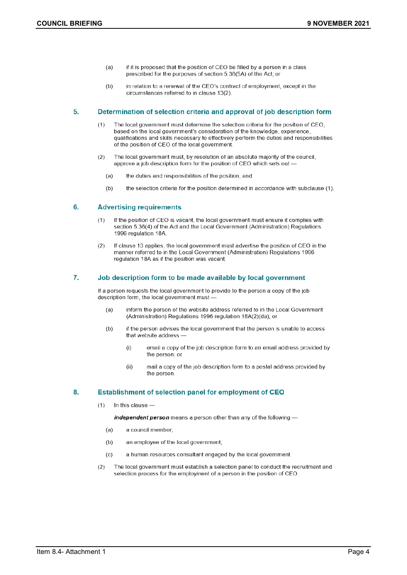- if it is proposed that the position of CEO be filled by a person in a class  $(a)$ prescribed for the purposes of section 5.36(5A) of the Act; or
- in relation to a renewal of the CEO's contract of employment, except in the  $(b)$ circumstances referred to in clause 13(2).

#### 5. Determination of selection criteria and approval of job description form

- The local government must determine the selection criteria for the position of CEO.  $(1)$ based on the local government's consideration of the knowledge, experience, qualifications and skills necessary to effectively perform the duties and responsibilities of the position of CEO of the local government.
- $(2)$ The local government must, by resolution of an absolute majority of the council, approve a job description form for the position of CEO which sets out -
	- $(a)$ the duties and responsibilities of the position; and
	- $(b)$ the selection criteria for the position determined in accordance with subclause (1).

#### 6. **Advertising requirements**

- If the position of CEO is vacant, the local government must ensure it complies with  $(1)$ section 5.36(4) of the Act and the Local Government (Administration) Regulations 1996 regulation 18A
- $(2)$ If clause 13 applies, the local government must advertise the position of CEO in the manner referred to in the Local Government (Administration) Regulations 1996 regulation 18A as if the position was vacant.

#### 7. Job description form to be made available by local government

If a person requests the local government to provide to the person a copy of the job description form, the local government must

- inform the person of the website address referred to in the Local Government  $(a)$ (Administration) Regulations 1996 regulation 18A(2)(da); or
- if the person advises the local government that the person is unable to access  $(b)$ that website address
	- $(i)$ email a copy of the job description form to an email address provided by the person; or
	- $(ii)$ mail a copy of the job description form to a postal address provided by the person.

#### 8. Establishment of selection panel for employment of CEO

In this clause - $(1)$ 

independent person means a person other than any of the following -

- a council member;  $(a)$
- $(b)$ an employee of the local government;
- a human resources consultant engaged by the local government.  $(c)$
- The local government must establish a selection panel to conduct the recruitment and  $(2)$ selection process for the employment of a person in the position of CEO.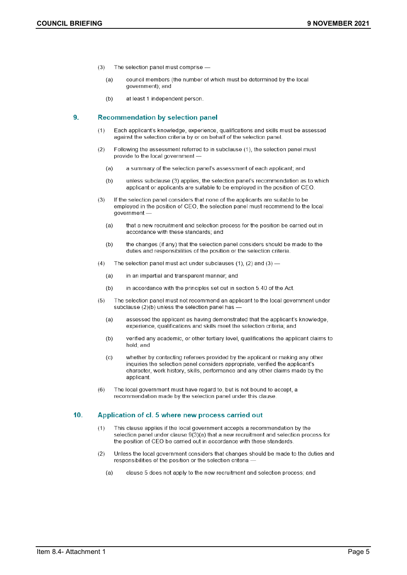- The selection panel must comprise - $(3)$ 
	- $(a)$ council members (the number of which must be determined by the local government); and
	- at least 1 independent person.  $(b)$

#### $9.$ **Recommendation by selection panel**

- $(1)$ Each applicant's knowledge, experience, qualifications and skills must be assessed against the selection criteria by or on behalf of the selection panel.
- $(2)$ Following the assessment referred to in subclause (1), the selection panel must provide to the local government -
	- $(a)$ a summary of the selection panel's assessment of each applicant; and
	- unless subclause (3) applies, the selection panel's recommendation as to which  $(b)$ applicant or applicants are suitable to be employed in the position of CEO.
- $(3)$ If the selection panel considers that none of the applicants are suitable to be employed in the position of CEO, the selection panel must recommend to the local government
	- that a new recruitment and selection process for the position be carried out in  $(a)$ accordance with these standards; and
	- the changes (if any) that the selection panel considers should be made to the  $(b)$ duties and responsibilities of the position or the selection criteria.
- $(4)$ The selection panel must act under subclauses (1), (2) and (3)  $-$ 
	- $(a)$ in an impartial and transparent manner; and
	- in accordance with the principles set out in section 5.40 of the Act.  $(b)$
- $(5)$ The selection panel must not recommend an applicant to the local government under subclause (2)(b) unless the selection panel has
	- $(a)$ assessed the applicant as having demonstrated that the applicant's knowledge, experience, qualifications and skills meet the selection criteria; and
	- $(b)$ verified any academic, or other tertiary level, qualifications the applicant claims to hold; and
	- whether by contacting referees provided by the applicant or making any other  $(c)$ inquiries the selection panel considers appropriate, verified the applicant's character, work history, skills, performance and any other claims made by the applicant.
- The local government must have regard to, but is not bound to accept, a  $(6)$ recommendation made by the selection panel under this clause.

#### 10. Application of cl. 5 where new process carried out

- $(1)$ This clause applies if the local government accepts a recommendation by the selection panel under clause 9(3)(a) that a new recruitment and selection process for the position of CEO be carried out in accordance with these standards.
- $(2)$ Unless the local government considers that changes should be made to the duties and responsibilities of the position or the selection criteria -
	- $(a)$ clause 5 does not apply to the new recruitment and selection process; and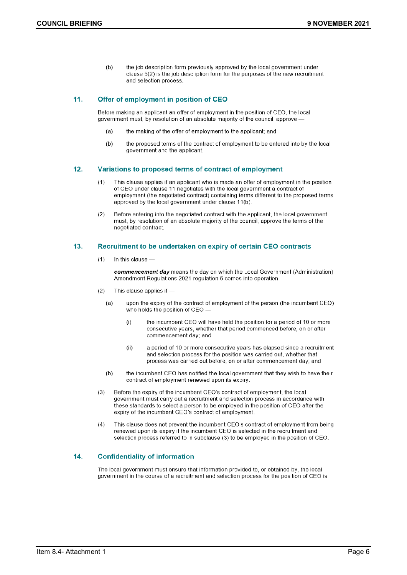the job description form previously approved by the local government under  $(b)$ clause 5(2) is the job description form for the purposes of the new recruitment and selection process.

#### $11.$ Offer of employment in position of CEO

Before making an applicant an offer of employment in the position of CEO, the local government must, by resolution of an absolute majority of the council, approve -

- the making of the offer of employment to the applicant; and  $(a)$
- the proposed terms of the contract of employment to be entered into by the local  $(b)$ government and the applicant.

#### $12.$ Variations to proposed terms of contract of employment

- $(1)$ This clause applies if an applicant who is made an offer of employment in the position of CEO under clause 11 negotiates with the local government a contract of employment (the negotiated contract) containing terms different to the proposed terms approved by the local government under clause 11(b).
- $(2)$ Before entering into the negotiated contract with the applicant, the local government must, by resolution of an absolute majority of the council, approve the terms of the negotiated contract.

#### $13.$ Recruitment to be undertaken on expiry of certain CEO contracts

In this clause - $(1)$ 

> commencement day means the day on which the Local Government (Administration) Amendment Regulations 2021 regulation 6 comes into operation.

- $(2)$ This clause applies if
	- upon the expiry of the contract of employment of the person (the incumbent CEO)  $(a)$ who holds the position of CEO -
		- $(i)$ the incumbent CEO will have held the position for a period of 10 or more consecutive years, whether that period commenced before, on or after commencement day; and
		- $(ii)$ a period of 10 or more consecutive years has elapsed since a recruitment and selection process for the position was carried out, whether that process was carried out before, on or after commencement day; and
	- $(b)$ the incumbent CEO has notified the local government that they wish to have their contract of employment renewed upon its expiry.
- Before the expiry of the incumbent CEO's contract of employment, the local  $(3)$ government must carry out a recruitment and selection process in accordance with these standards to select a person to be employed in the position of CEO after the expiry of the incumbent CEO's contract of employment.
- $(4)$ This clause does not prevent the incumbent CEO's contract of employment from being renewed upon its expiry if the incumbent CEO is selected in the recruitment and selection process referred to in subclause (3) to be employed in the position of CEO.

#### 14. **Confidentiality of information**

The local government must ensure that information provided to, or obtained by, the local government in the course of a recruitment and selection process for the position of CEO is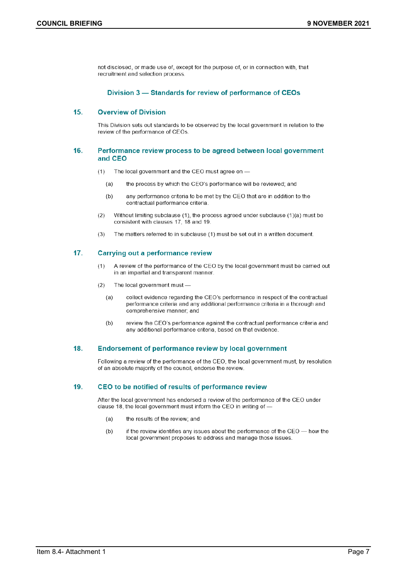not disclosed, or made use of, except for the purpose of, or in connection with, that recruitment and selection process.

## Division 3 - Standards for review of performance of CEOs

#### $15.$ **Overview of Division**

This Division sets out standards to be observed by the local government in relation to the review of the performance of CEOs.

## 16. Performance review process to be agreed between local government and CEO

- The local government and the CEO must agree on - $(1)$ 
	- $(a)$ the process by which the CEO's performance will be reviewed; and
	- any performance criteria to be met by the CEO that are in addition to the  $(b)$ contractual performance criteria
- Without limiting subclause (1), the process agreed under subclause (1)(a) must be  $(2)$ consistent with clauses 17, 18 and 19.
- The matters referred to in subclause (1) must be set out in a written document.  $(3)$

#### $17.$ **Carrying out a performance review**

- A review of the performance of the CEO by the local government must be carried out  $(1)$ in an impartial and transparent manner.
- $(2)$ The local government must
	- collect evidence regarding the CEO's performance in respect of the contractual  $(a)$ performance criteria and any additional performance criteria in a thorough and comprehensive manner; and
	- review the CEO's performance against the contractual performance criteria and  $(b)$ any additional performance criteria, based on that evidence.

#### 18. **Endorsement of performance review by local government**

Following a review of the performance of the CEO, the local government must, by resolution of an absolute majority of the council, endorse the review.

#### 19. CEO to be notified of results of performance review

After the local government has endorsed a review of the performance of the CEO under clause 18, the local government must inform the CEO in writing of -

- $(a)$ the results of the review; and
- if the review identifies any issues about the performance of the CEO how the  $(b)$ local government proposes to address and manage those issues.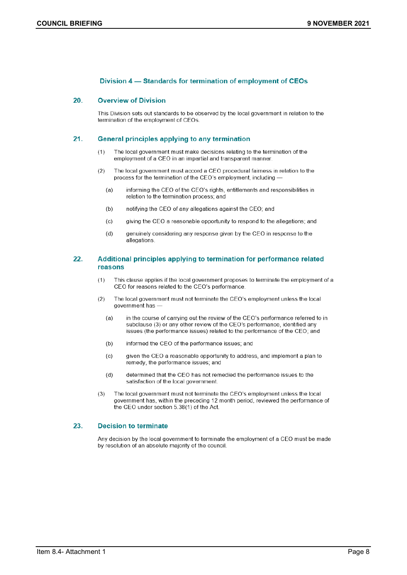## Division 4 – Standards for termination of employment of CEOs

#### 20. **Overview of Division**

This Division sets out standards to be observed by the local government in relation to the termination of the employment of CEOs.

#### $21.$ **General principles applying to any termination**

- $(1)$ The local government must make decisions relating to the termination of the employment of a CEO in an impartial and transparent manner.
- The local government must accord a CEO procedural fairness in relation to the  $(2)$ process for the termination of the CEO's employment, including
	- informing the CEO of the CEO's rights, entitlements and responsibilities in  $(a)$ relation to the termination process; and
	- notifying the CEO of any allegations against the CEO; and  $(b)$
	- giving the CEO a reasonable opportunity to respond to the allegations; and  $(c)$
	- genuinely considering any response given by the CEO in response to the  $(d)$ allegations.

## 22. Additional principles applying to termination for performance related reasons

- This clause applies if the local government proposes to terminate the employment of a  $(1)$ CEO for reasons related to the CEO's performance.
- $(2)$ The local government must not terminate the CEO's employment unless the local government has
	- in the course of carrying out the review of the CEO's performance referred to in  $(a)$ subclause (3) or any other review of the CEO's performance, identified any issues (the performance issues) related to the performance of the CEO; and
	- $(b)$ informed the CEO of the performance issues; and
	- $(c)$ given the CEO a reasonable opportunity to address, and implement a plan to remedy, the performance issues; and
	- determined that the CEO has not remedied the performance issues to the  $(d)$ satisfaction of the local government.
- The local government must not terminate the CEO's employment unless the local  $(3)$ government has, within the preceding 12 month period, reviewed the performance of the CEO under section 5.38(1) of the Act.

#### 23. **Decision to terminate**

Any decision by the local government to terminate the employment of a CEO must be made by resolution of an absolute majority of the council.